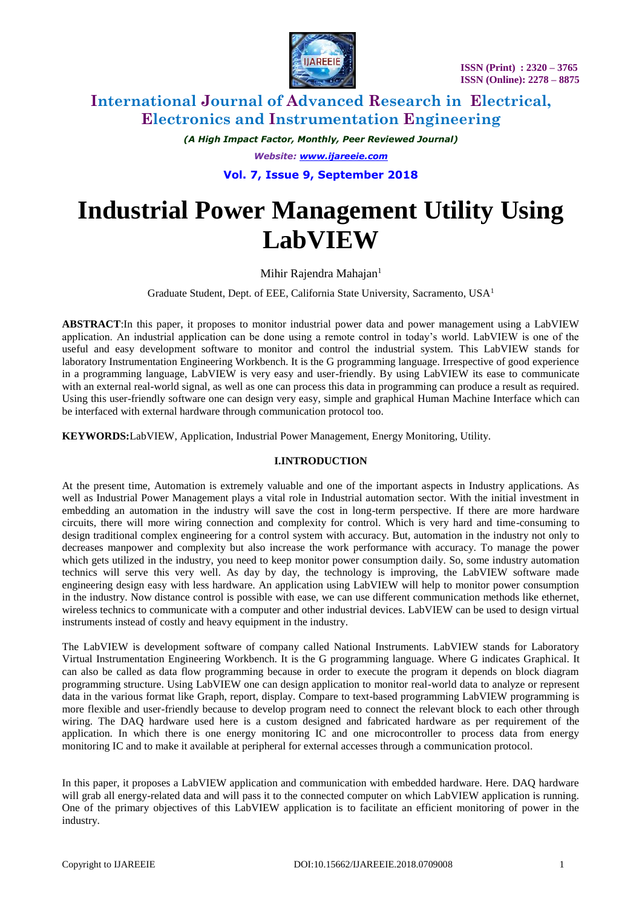

*(A High Impact Factor, Monthly, Peer Reviewed Journal) Website: [www.ijareeie.com](http://www.ijareeie.com/)* **Vol. 7, Issue 9, September 2018**

# **Industrial Power Management Utility Using LabVIEW**

Mihir Rajendra Mahajan<sup>1</sup>

Graduate Student, Dept. of EEE, California State University, Sacramento, USA<sup>1</sup>

**ABSTRACT**:In this paper, it proposes to monitor industrial power data and power management using a LabVIEW application. An industrial application can be done using a remote control in today's world. LabVIEW is one of the useful and easy development software to monitor and control the industrial system. This LabVIEW stands for laboratory Instrumentation Engineering Workbench. It is the G programming language. Irrespective of good experience in a programming language, LabVIEW is very easy and user-friendly. By using LabVIEW its ease to communicate with an external real-world signal, as well as one can process this data in programming can produce a result as required. Using this user-friendly software one can design very easy, simple and graphical Human Machine Interface which can be interfaced with external hardware through communication protocol too.

**KEYWORDS:**LabVIEW, Application, Industrial Power Management, Energy Monitoring, Utility.

### **I.INTRODUCTION**

At the present time, Automation is extremely valuable and one of the important aspects in Industry applications. As well as Industrial Power Management plays a vital role in Industrial automation sector. With the initial investment in embedding an automation in the industry will save the cost in long-term perspective. If there are more hardware circuits, there will more wiring connection and complexity for control. Which is very hard and time-consuming to design traditional complex engineering for a control system with accuracy. But, automation in the industry not only to decreases manpower and complexity but also increase the work performance with accuracy. To manage the power which gets utilized in the industry, you need to keep monitor power consumption daily. So, some industry automation technics will serve this very well. As day by day, the technology is improving, the LabVIEW software made engineering design easy with less hardware. An application using LabVIEW will help to monitor power consumption in the industry. Now distance control is possible with ease, we can use different communication methods like ethernet, wireless technics to communicate with a computer and other industrial devices. LabVIEW can be used to design virtual instruments instead of costly and heavy equipment in the industry.

The LabVIEW is development software of company called National Instruments. LabVIEW stands for Laboratory Virtual Instrumentation Engineering Workbench. It is the G programming language. Where G indicates Graphical. It can also be called as data flow programming because in order to execute the program it depends on block diagram programming structure. Using LabVIEW one can design application to monitor real-world data to analyze or represent data in the various format like Graph, report, display. Compare to text-based programming LabVIEW programming is more flexible and user-friendly because to develop program need to connect the relevant block to each other through wiring. The DAQ hardware used here is a custom designed and fabricated hardware as per requirement of the application. In which there is one energy monitoring IC and one microcontroller to process data from energy monitoring IC and to make it available at peripheral for external accesses through a communication protocol.

In this paper, it proposes a LabVIEW application and communication with embedded hardware. Here. DAQ hardware will grab all energy-related data and will pass it to the connected computer on which LabVIEW application is running. One of the primary objectives of this LabVIEW application is to facilitate an efficient monitoring of power in the industry.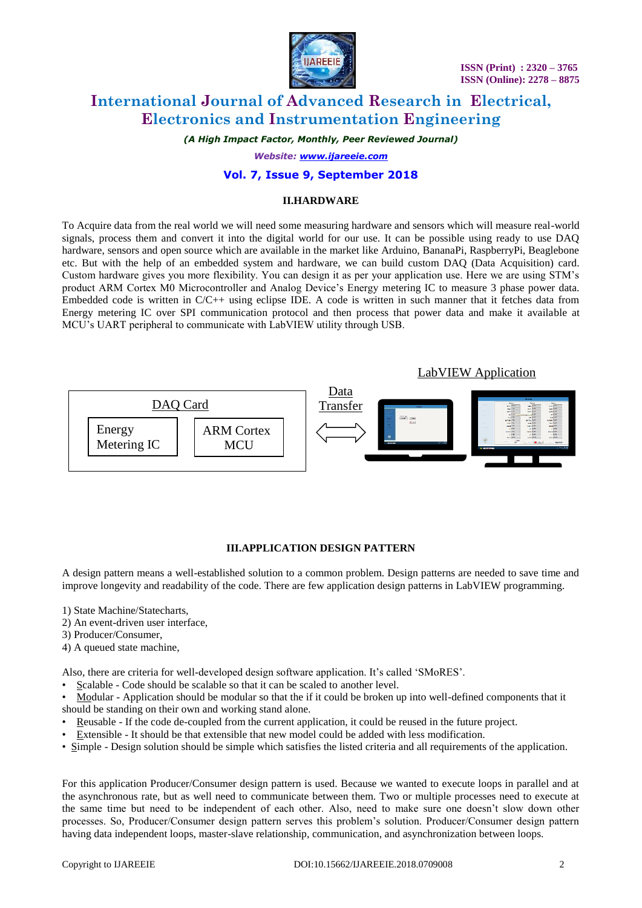



*(A High Impact Factor, Monthly, Peer Reviewed Journal)*

*Website: [www.ijareeie.com](http://www.ijareeie.com/)*

#### **Vol. 7, Issue 9, September 2018**

#### **II.HARDWARE**

To Acquire data from the real world we will need some measuring hardware and sensors which will measure real-world signals, process them and convert it into the digital world for our use. It can be possible using ready to use DAQ hardware, sensors and open source which are available in the market like Arduino, BananaPi, RaspberryPi, Beaglebone etc. But with the help of an embedded system and hardware, we can build custom DAQ (Data Acquisition) card. Custom hardware gives you more flexibility. You can design it as per your application use. Here we are using STM's product ARM Cortex M0 Microcontroller and Analog Device's Energy metering IC to measure 3 phase power data. Embedded code is written in C/C++ using eclipse IDE. A code is written in such manner that it fetches data from Energy metering IC over SPI communication protocol and then process that power data and make it available at MCU's UART peripheral to communicate with LabVIEW utility through USB.



#### **III.APPLICATION DESIGN PATTERN**

A design pattern means a well-established solution to a common problem. Design patterns are needed to save time and improve longevity and readability of the code. There are few application design patterns in LabVIEW programming.

- 1) State Machine/Statecharts,
- 2) An event-driven user interface,
- 3) Producer/Consumer,
- 4) A queued state machine,

Also, there are criteria for well-developed design software application. It's called 'SMoRES'.

• Scalable - Code should be scalable so that it can be scaled to another level.

• Modular - Application should be modular so that the if it could be broken up into well-defined components that it should be standing on their own and working stand alone.

- Reusable If the code de-coupled from the current application, it could be reused in the future project.
- Extensible It should be that extensible that new model could be added with less modification.
- Simple Design solution should be simple which satisfies the listed criteria and all requirements of the application.

For this application Producer/Consumer design pattern is used. Because we wanted to execute loops in parallel and at the asynchronous rate, but as well need to communicate between them. Two or multiple processes need to execute at the same time but need to be independent of each other. Also, need to make sure one doesn't slow down other processes. So, Producer/Consumer design pattern serves this problem's solution. Producer/Consumer design pattern having data independent loops, master-slave relationship, communication, and asynchronization between loops.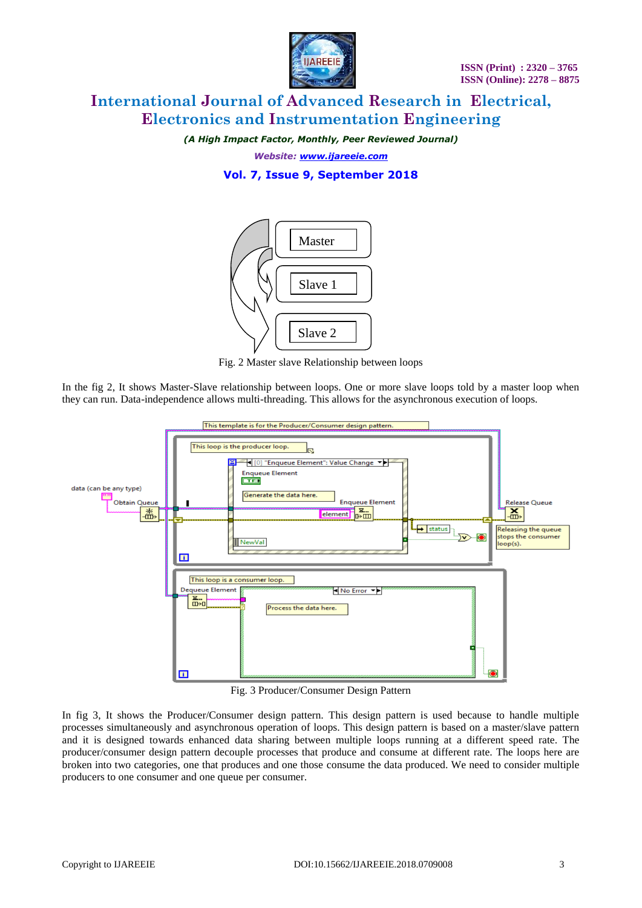

*(A High Impact Factor, Monthly, Peer Reviewed Journal)*

*Website: [www.ijareeie.com](http://www.ijareeie.com/)*

### **Vol. 7, Issue 9, September 2018**



Fig. 2 Master slave Relationship between loops

In the fig 2, It shows Master-Slave relationship between loops. One or more slave loops told by a master loop when they can run. Data-independence allows multi-threading. This allows for the asynchronous execution of loops.



Fig. 3 Producer/Consumer Design Pattern

In fig 3, It shows the Producer/Consumer design pattern. This design pattern is used because to handle multiple processes simultaneously and asynchronous operation of loops. This design pattern is based on a master/slave pattern and it is designed towards enhanced data sharing between multiple loops running at a different speed rate. The producer/consumer design pattern decouple processes that produce and consume at different rate. The loops here are broken into two categories, one that produces and one those consume the data produced. We need to consider multiple producers to one consumer and one queue per consumer.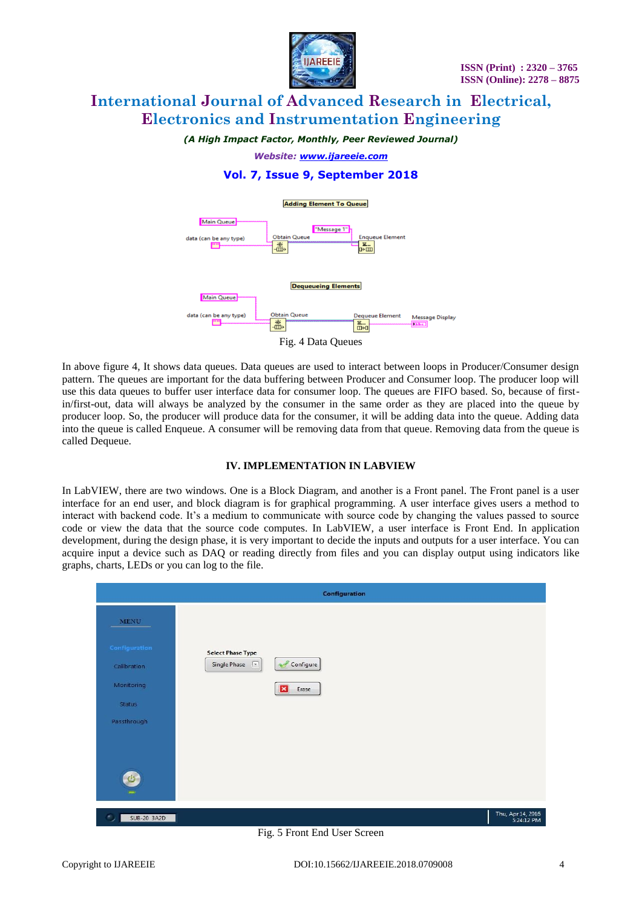

*(A High Impact Factor, Monthly, Peer Reviewed Journal)*

*Website: [www.ijareeie.com](http://www.ijareeie.com/)*

### **Vol. 7, Issue 9, September 2018**



In above figure 4, It shows data queues. Data queues are used to interact between loops in Producer/Consumer design pattern. The queues are important for the data buffering between Producer and Consumer loop. The producer loop will use this data queues to buffer user interface data for consumer loop. The queues are FIFO based. So, because of firstin/first-out, data will always be analyzed by the consumer in the same order as they are placed into the queue by producer loop. So, the producer will produce data for the consumer, it will be adding data into the queue. Adding data into the queue is called Enqueue. A consumer will be removing data from that queue. Removing data from the queue is called Dequeue.

#### **IV. IMPLEMENTATION IN LABVIEW**

In LabVIEW, there are two windows. One is a Block Diagram, and another is a Front panel. The Front panel is a user interface for an end user, and block diagram is for graphical programming. A user interface gives users a method to interact with backend code. It's a medium to communicate with source code by changing the values passed to source code or view the data that the source code computes. In LabVIEW, a user interface is Front End. In application development, during the design phase, it is very important to decide the inputs and outputs for a user interface. You can acquire input a device such as DAQ or reading directly from files and you can display output using indicators like graphs, charts, LEDs or you can log to the file.

|                                            | Configuration                                                                                                             |       |                                 |
|--------------------------------------------|---------------------------------------------------------------------------------------------------------------------------|-------|---------------------------------|
| <b>MENU</b>                                |                                                                                                                           |       |                                 |
| Configuration<br>Calibration<br>Monitoring | <b>Select Phase Type</b><br>Configure<br>Single Phase<br>$\left\lceil \frac{\omega}{\omega} \right\rceil$<br>$\mathbf{x}$ | Erase |                                 |
| Status<br>Passthrough                      |                                                                                                                           |       |                                 |
| $\mathbf{C}$<br>$\overline{1}$             |                                                                                                                           |       |                                 |
| SUB-20 3A2D<br>$\mathcal{L}_{\mathcal{P}}$ |                                                                                                                           |       | Thu, Apr 14, 2016<br>5:24:12 PM |

Fig. 5 Front End User Screen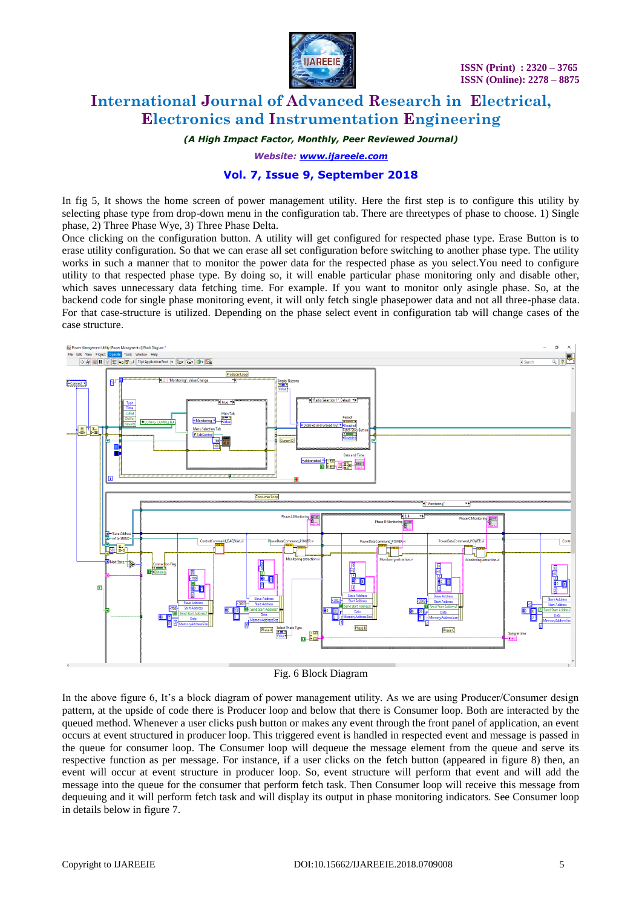

*(A High Impact Factor, Monthly, Peer Reviewed Journal)*

*Website: [www.ijareeie.com](http://www.ijareeie.com/)*

### **Vol. 7, Issue 9, September 2018**

In fig 5, It shows the home screen of power management utility. Here the first step is to configure this utility by selecting phase type from drop-down menu in the configuration tab. There are threetypes of phase to choose. 1) Single phase, 2) Three Phase Wye, 3) Three Phase Delta.

Once clicking on the configuration button. A utility will get configured for respected phase type. Erase Button is to erase utility configuration. So that we can erase all set configuration before switching to another phase type. The utility works in such a manner that to monitor the power data for the respected phase as you select.You need to configure utility to that respected phase type. By doing so, it will enable particular phase monitoring only and disable other, which saves unnecessary data fetching time. For example. If you want to monitor only asingle phase. So, at the backend code for single phase monitoring event, it will only fetch single phasepower data and not all three-phase data. For that case-structure is utilized. Depending on the phase select event in configuration tab will change cases of the case structure.



Fig. 6 Block Diagram

In the above figure 6, It's a block diagram of power management utility. As we are using Producer/Consumer design pattern, at the upside of code there is Producer loop and below that there is Consumer loop. Both are interacted by the queued method. Whenever a user clicks push button or makes any event through the front panel of application, an event occurs at event structured in producer loop. This triggered event is handled in respected event and message is passed in the queue for consumer loop. The Consumer loop will dequeue the message element from the queue and serve its respective function as per message. For instance, if a user clicks on the fetch button (appeared in figure 8) then, an event will occur at event structure in producer loop. So, event structure will perform that event and will add the message into the queue for the consumer that perform fetch task. Then Consumer loop will receive this message from dequeuing and it will perform fetch task and will display its output in phase monitoring indicators. See Consumer loop in details below in figure 7.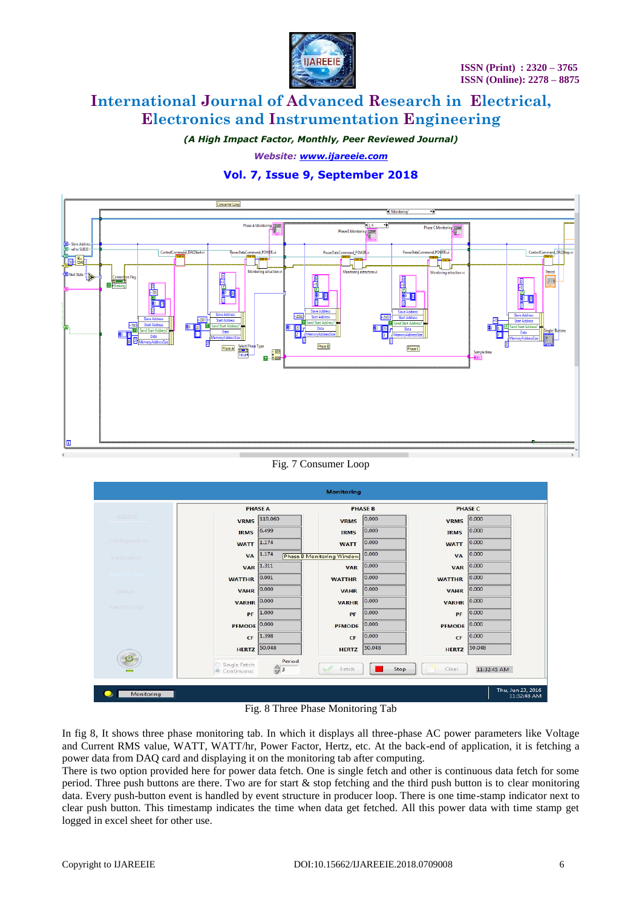

*(A High Impact Factor, Monthly, Peer Reviewed Journal)*

*Website: [www.ijareeie.com](http://www.ijareeie.com/)*

### **Vol. 7, Issue 9, September 2018**



#### Fig. 7 Consumer Loop



In fig 8, It shows three phase monitoring tab. In which it displays all three-phase AC power parameters like Voltage and Current RMS value, WATT, WATT/hr, Power Factor, Hertz, etc. At the back-end of application, it is fetching a power data from DAQ card and displaying it on the monitoring tab after computing.

There is two option provided here for power data fetch. One is single fetch and other is continuous data fetch for some period. Three push buttons are there. Two are for start  $\&$  stop fetching and the third push button is to clear monitoring data. Every push-button event is handled by event structure in producer loop. There is one time-stamp indicator next to clear push button. This timestamp indicates the time when data get fetched. All this power data with time stamp get logged in excel sheet for other use.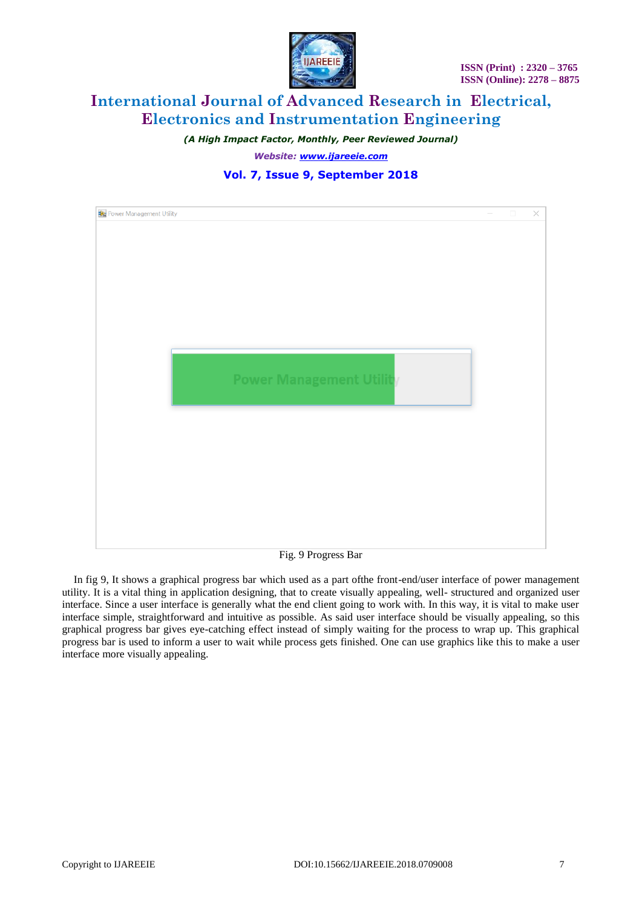

*(A High Impact Factor, Monthly, Peer Reviewed Journal) Website: [www.ijareeie.com](http://www.ijareeie.com/)*

### **Vol. 7, Issue 9, September 2018**



Fig. 9 Progress Bar

In fig 9, It shows a graphical progress bar which used as a part ofthe front-end/user interface of power management utility. It is a vital thing in application designing, that to create visually appealing, well- structured and organized user interface. Since a user interface is generally what the end client going to work with. In this way, it is vital to make user interface simple, straightforward and intuitive as possible. As said user interface should be visually appealing, so this graphical progress bar gives eye-catching effect instead of simply waiting for the process to wrap up. This graphical progress bar is used to inform a user to wait while process gets finished. One can use graphics like this to make a user interface more visually appealing.